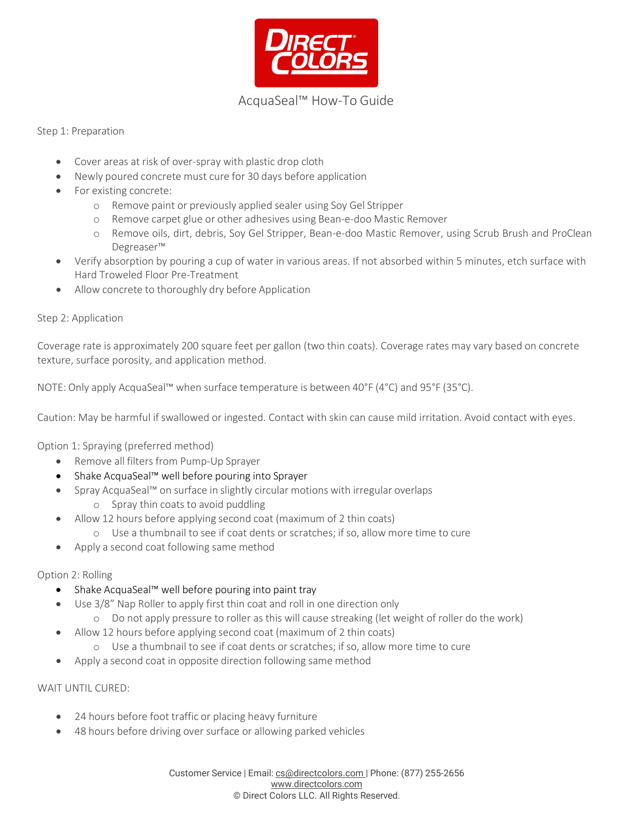

# AcquaSeal™ How-To Guide

## Step 1: Preparation

- Cover areas at risk of over-spray with plastic drop cloth
- Newly poured concrete must cure for 30 days before application
- For existing concrete:
	- o Remove paint or previously applied sealer using Soy Gel Stripper
	- o Remove carpet glue or other adhesives using Bean-e-doo Mastic Remover
	- o Remove oils, dirt, debris, Soy Gel Stripper, Bean-e-doo Mastic Remover, using Scrub Brush and ProClean Degreaser™
- Verify absorption by pouring a cup of water in various areas. If not absorbed within 5 minutes, etch surface with Hard Troweled Floor Pre-Treatment
- Allow concrete to thoroughly dry before Application

### Step 2: Application

Coverage rate is approximately 200 square feet per gallon (two thin coats). Coverage rates may vary based on concrete texture, surface porosity, and application method.

NOTE: Only apply AcquaSeal™ when surface temperature is between 40°F (4°C) and 95°F (35°C).

Caution: May be harmful if swallowed or ingested. Contact with skin can cause mild irritation. Avoid contact with eyes.

Option 1: Spraying (preferred method)

- Remove all filters from Pump-Up Sprayer
- Shake AcquaSeal™ well before pouring into Sprayer
- Spray AcquaSeal™ on surface in slightly circular motions with irregular overlaps o Spray thin coats to avoid puddling
- Allow 12 hours before applying second coat (maximum of 2 thin coats)
	- o Use a thumbnail to see if coat dents or scratches; if so, allow more time to cure
- Apply a second coat following same method

### Option 2: Rolling

- Shake AcquaSeal™ well before pouring into paint tray
- Use 3/8" Nap Roller to apply first thin coat and roll in one direction only
	- o Do not apply pressure to roller as this will cause streaking (let weight of roller do the work)
- Allow 12 hours before applying second coat (maximum of 2 thin coats)
	- o Use a thumbnail to see if coat dents or scratches; if so, allow more time to cure
- Apply a second coat in opposite direction following same method

### WAIT UNTIL CURED:

- 24 hours before foot traffic or placing heavy furniture
- 48 hours before driving over surface or allowing parked vehicles